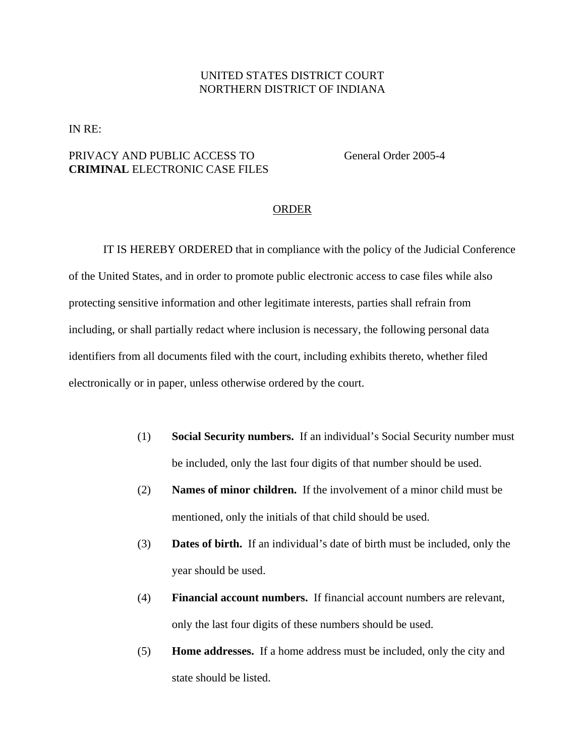## UNITED STATES DISTRICT COURT NORTHERN DISTRICT OF INDIANA

IN RE:

## PRIVACY AND PUBLIC ACCESS TO General Order 2005-4 **CRIMINAL** ELECTRONIC CASE FILES

## ORDER

IT IS HEREBY ORDERED that in compliance with the policy of the Judicial Conference of the United States, and in order to promote public electronic access to case files while also protecting sensitive information and other legitimate interests, parties shall refrain from including, or shall partially redact where inclusion is necessary, the following personal data identifiers from all documents filed with the court, including exhibits thereto, whether filed electronically or in paper, unless otherwise ordered by the court.

- (1) **Social Security numbers.** If an individual's Social Security number must be included, only the last four digits of that number should be used.
- (2) **Names of minor children.** If the involvement of a minor child must be mentioned, only the initials of that child should be used.
- (3) **Dates of birth.** If an individual's date of birth must be included, only the year should be used.
- (4) **Financial account numbers.** If financial account numbers are relevant, only the last four digits of these numbers should be used.
- (5) **Home addresses.** If a home address must be included, only the city and state should be listed.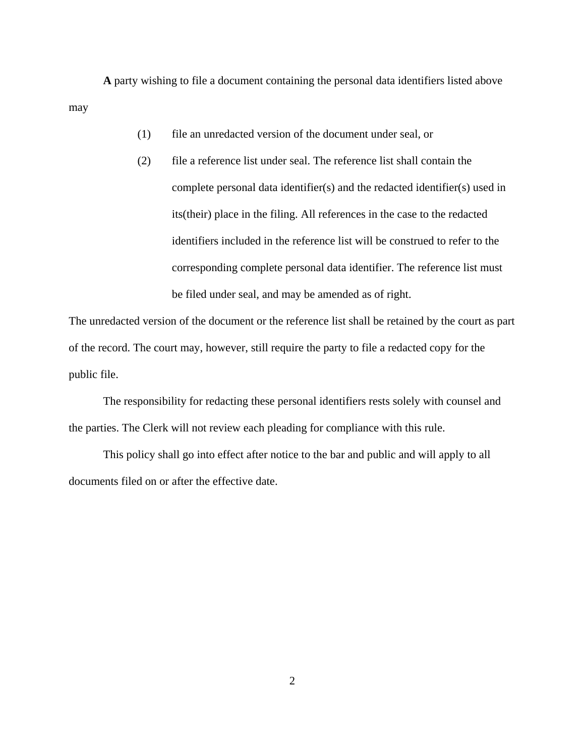**A** party wishing to file a document containing the personal data identifiers listed above may

- (1) file an unredacted version of the document under seal, or
- (2) file a reference list under seal. The reference list shall contain the complete personal data identifier(s) and the redacted identifier(s) used in its(their) place in the filing. All references in the case to the redacted identifiers included in the reference list will be construed to refer to the corresponding complete personal data identifier. The reference list must be filed under seal, and may be amended as of right.

The unredacted version of the document or the reference list shall be retained by the court as part of the record. The court may, however, still require the party to file a redacted copy for the public file.

The responsibility for redacting these personal identifiers rests solely with counsel and the parties. The Clerk will not review each pleading for compliance with this rule.

This policy shall go into effect after notice to the bar and public and will apply to all documents filed on or after the effective date.